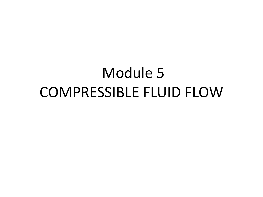## Module 5 COMPRESSIBLE FLUID FLOW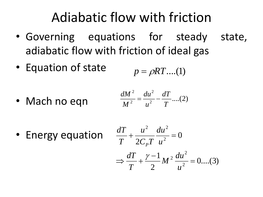## Adiabatic flow with friction

- Governing equations for steady state, adiabatic flow with friction of ideal gas
- Equation of state  $p = \rho RT$ ....(1)
- Mach no eqn  $\frac{u}{2} - \frac{u}{T}$ ....(2) 2  $\boldsymbol{d}$   $\boldsymbol{T}$ 2  $\overline{a}$   $\overline{a}$ 2  $J_1$ ,  $^2$   $J'_2$ *T*  $dT \sim 2$  $u^2$   $T$   $\cdots$  (-7)  $du^2$  *dT*  $\sqrt{2}$  $M^2$   $u^2$   $T$   $(0, 0)$  $dM^2$   $du^2$   $dT$   $(2)$  $=\frac{du}{2} - \frac{u}{2}$  ....(2)

• Energy equation

$$
\frac{dT}{T} + \frac{u^2}{2C_pT} \frac{du^2}{u^2} = 0
$$
  
\n
$$
\Rightarrow \frac{dT}{T} + \frac{\gamma - 1}{2} M^2 \frac{du^2}{u^2} = 0 ....(3)
$$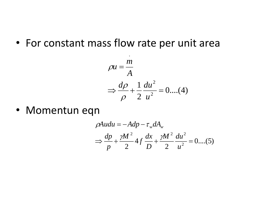• For constant mass flow rate per unit area

$$
\rho u = \frac{m}{A}
$$
  
\n
$$
\Rightarrow \frac{d\rho}{\rho} + \frac{1}{2} \frac{du^2}{u^2} = 0 \dots (4)
$$

.

• Momentun eqn

$$
\rho A u du = -A dp - \tau_w dA_w
$$
  
\n
$$
\Rightarrow \frac{dp}{p} + \frac{\gamma M^2}{2} 4f \frac{dx}{D} + \frac{\gamma M^2}{2} \frac{du^2}{u^2} = 0 ....(5)
$$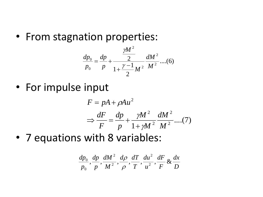• From stagnation properties:

$$
\frac{dp_0}{p_0} = \frac{dp}{p} + \frac{\frac{\gamma M^2}{2}}{1 + \frac{\gamma - 1}{2} M^2} \frac{dM^2}{M^2} ....(6)
$$

• For impulse input

$$
F = pA + \rho Au^2
$$
  
\n
$$
\Rightarrow \frac{dF}{F} = \frac{dp}{p} + \frac{\gamma M^2}{1 + \gamma M^2} \frac{dM^2}{M^2} \dots (7)
$$

• 7 equations with 8 variables:

$$
\frac{dp_0}{p_0}, \frac{dp}{p}, \frac{dM^2}{M^2}, \frac{d\rho}{\rho}, \frac{dT}{T}, \frac{du^2}{u^2}, \frac{dF}{F} \& \frac{dx}{D}
$$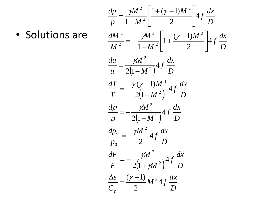• Solutions are

$$
\frac{dp}{p} = \frac{\gamma M^2}{1 - M^2} \left[ \frac{1 + (\gamma - 1)M^2}{2} \right] 4f \frac{dx}{D}
$$
  
\n
$$
\frac{dM^2}{M^2} = -\frac{\gamma M^2}{1 - M^2} \left[ 1 + \frac{(\gamma - 1)M^2}{2} \right] 4f \frac{dx}{D}
$$
  
\n
$$
\frac{du}{u} = \frac{\gamma M^2}{2(1 - M^2)} 4f \frac{dx}{D}
$$
  
\n
$$
\frac{dT}{T} = -\frac{\gamma (\gamma - 1)M^4}{2(1 - M^2)} 4f \frac{dx}{D}
$$
  
\n
$$
\frac{dp}{\rho} = -\frac{\gamma M^2}{2(1 - M^2)} 4f \frac{dx}{D}
$$
  
\n
$$
\frac{dp_0}{p_0} = -\frac{\gamma M^2}{2} 4f \frac{dx}{D}
$$
  
\n
$$
\frac{dF}{F} = -\frac{\gamma M^2}{2(1 + \gamma M^2)} 4f \frac{dx}{D}
$$
  
\n
$$
\frac{\Delta s}{C_p} = \frac{(\gamma - 1)M^2}{2} M^2 4f \frac{dx}{D}
$$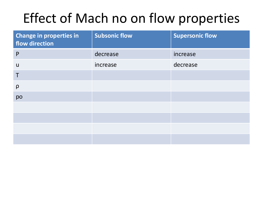## Effect of Mach no on flow properties

| <b>Change in properties in</b><br>flow direction | <b>Subsonic flow</b> | <b>Supersonic flow</b> |
|--------------------------------------------------|----------------------|------------------------|
| P                                                | decrease             | increase               |
| $\mathsf{u}$                                     | increase             | decrease               |
| $\mathsf T$                                      |                      |                        |
| $\rho$                                           |                      |                        |
| po                                               |                      |                        |
|                                                  |                      |                        |
|                                                  |                      |                        |
|                                                  |                      |                        |
|                                                  |                      |                        |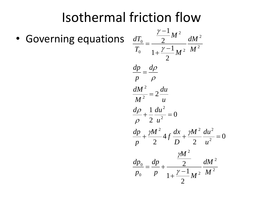## Isothermal friction flow

• Governing equations

$$
\frac{dT_0}{T_0} = \frac{\frac{\gamma - 1}{2} M^2}{1 + \frac{\gamma - 1}{2} M^2} \frac{dM^2}{M^2}
$$
\n  
\n
$$
\frac{dp}{p} = \frac{d\rho}{\rho}
$$
\n  
\n
$$
\frac{dM^2}{M^2} = 2 \frac{du}{u}
$$
\n  
\n
$$
\frac{d\rho}{\rho} + \frac{1}{2} \frac{du^2}{u^2} = 0
$$
\n  
\n
$$
\frac{dp}{p} + \frac{\gamma M^2}{2} 4f \frac{dx}{D} + \frac{\gamma M^2}{2} \frac{du^2}{u^2} = 0
$$
\n  
\n
$$
\frac{\gamma M^2}{p_0} = \frac{dp}{p} + \frac{\frac{\gamma M^2}{2}}{1 + \frac{\gamma - 1}{2} M^2} \frac{dM^2}{M^2}
$$